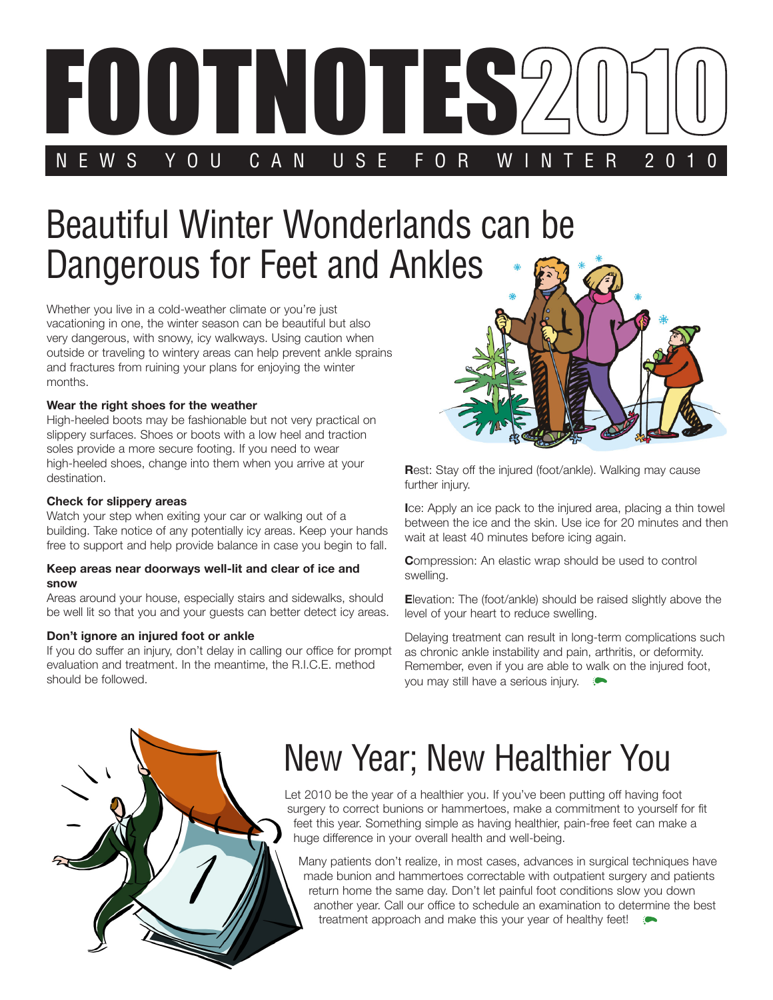

# Beautiful Winter Wonderlands can be Dangerous for Feet and Ankles

Whether you live in a cold-weather climate or you're just vacationing in one, the winter season can be beautiful but also very dangerous, with snowy, icy walkways. Using caution when outside or traveling to wintery areas can help prevent ankle sprains and fractures from ruining your plans for enjoying the winter months.

#### **Wear the right shoes for the weather**

High-heeled boots may be fashionable but not very practical on slippery surfaces. Shoes or boots with a low heel and traction soles provide a more secure footing. If you need to wear high-heeled shoes, change into them when you arrive at your destination.

#### **Check for slippery areas**

Watch your step when exiting your car or walking out of a building. Take notice of any potentially icy areas. Keep your hands free to support and help provide balance in case you begin to fall.

#### **Keep areas near doorways well-lit and clear of ice and snow**

Areas around your house, especially stairs and sidewalks, should be well lit so that you and your guests can better detect icy areas.

#### **Don't ignore an injured foot or ankle**

If you do suffer an injury, don't delay in calling our office for prompt evaluation and treatment. In the meantime, the R.I.C.E. method should be followed.



**Rest:** Stay off the injured (foot/ankle). Walking may cause further injury.

**I**ce: Apply an ice pack to the injured area, placing a thin towel between the ice and the skin. Use ice for 20 minutes and then wait at least 40 minutes before icing again.

**C**ompression: An elastic wrap should be used to control swelling.

**E**levation: The (foot/ankle) should be raised slightly above the level of your heart to reduce swelling.

Delaying treatment can result in long-term complications such as chronic ankle instability and pain, arthritis, or deformity. Remember, even if you are able to walk on the injured foot, you may still have a serious injury.



## New Year; New Healthier You

Let 2010 be the year of a healthier you. If you've been putting off having foot surgery to correct bunions or hammertoes, make a commitment to yourself for fit feet this year. Something simple as having healthier, pain-free feet can make a huge difference in your overall health and well-being.

Many patients don't realize, in most cases, advances in surgical techniques have made bunion and hammertoes correctable with outpatient surgery and patients return home the same day. Don't let painful foot conditions slow you down another year. Call our office to schedule an examination to determine the best treatment approach and make this your year of healthy feet!